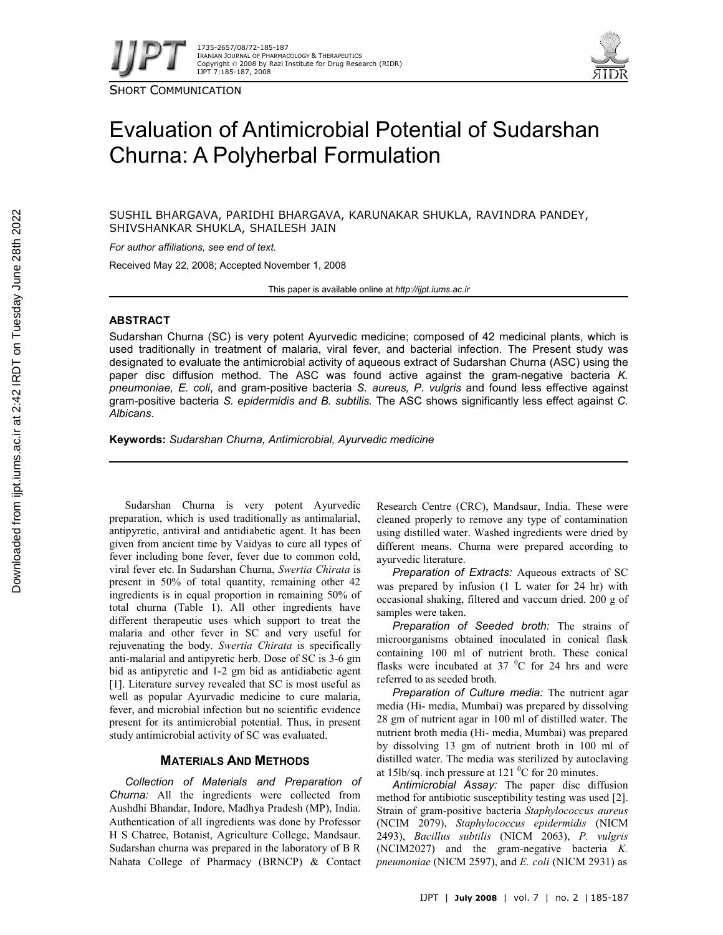

SHORT COMMUNICATION



# Evaluation of Antimicrobial Potential of Sudarshan Churna: A Polyherbal Formulation

SUSHIL BHARGAVA, PARIDHI BHARGAVA, KARUNAKAR SHUKLA, RAVINDRA PANDEY, SHIVSHANKAR SHUKLA, SHAILESH JAIN

*For author affiliations, see end of text.*

Received May 22, 2008; Accepted November 1, 2008

This paper is available online at *http://ijpt.iums.ac.ir*

# **ABSTRACT**

Sudarshan Churna (SC) is very potent Ayurvedic medicine; composed of 42 medicinal plants, which is used traditionally in treatment of malaria, viral fever, and bacterial infection. The Present study was designated to evaluate the antimicrobial activity of aqueous extract of Sudarshan Churna (ASC) using the paper disc diffusion method. The ASC was found active against the gram-negative bacteria *K. pneumoniae, E. coli*, and gram-positive bacteria *S. aureus, P. vulgris* and found less effective against gram-positive bacteria *S. epidermidis and B. subtilis.* The ASC shows significantly less effect against *C. Albicans*.

**Keywords:** *Sudarshan Churna, Antimicrobial, Ayurvedic medicine*

Sudarshan Churna is very potent Ayurvedic preparation, which is used traditionally as antimalarial, antipyretic, antiviral and antidiabetic agent. It has been given from ancient time by Vaidyas to cure all types of fever including bone fever, fever due to common cold, viral fever etc. In Sudarshan Churna, *Swertia Chirata* is present in 50% of total quantity, remaining other 42 ingredients is in equal proportion in remaining 50% of total churna (Table 1). All other ingredients have different therapeutic uses which support to treat the malaria and other fever in SC and very useful for rejuvenating the body. *Swertia Chirata* is specifically anti-malarial and antipyretic herb. Dose of SC is 3-6 gm bid as antipyretic and 1-2 gm bid as antidiabetic agent [1]. Literature survey revealed that SC is most useful as well as popular Ayurvadic medicine to cure malaria, fever, and microbial infection but no scientific evidence present for its antimicrobial potential. Thus, in present study antimicrobial activity of SC was evaluated.

# **MATERIALS AND METHODS**

*Collection of Materials and Preparation of Churna:* All the ingredients were collected from Aushdhi Bhandar, Indore, Madhya Pradesh (MP), India. Authentication of all ingredients was done by Professor H S Chatree, Botanist, Agriculture College, Mandsaur. Sudarshan churna was prepared in the laboratory of B R Nahata College of Pharmacy (BRNCP) & Contact Research Centre (CRC), Mandsaur, India. These were cleaned properly to remove any type of contamination using distilled water. Washed ingredients were dried by different means. Churna were prepared according to ayurvedic literature.

*Preparation of Extracts:* Aqueous extracts of SC was prepared by infusion (1 L water for 24 hr) with occasional shaking, filtered and vaccum dried. 200 g of samples were taken.

*Preparation of Seeded broth:* The strains of microorganisms obtained inoculated in conical flask containing 100 ml of nutrient broth. These conical flasks were incubated at  $37\degree$ C for 24 hrs and were referred to as seeded broth.

*Preparation of Culture media:* The nutrient agar media (Hi- media, Mumbai) was prepared by dissolving 28 gm of nutrient agar in 100 ml of distilled water. The nutrient broth media (Hi- media, Mumbai) was prepared by dissolving 13 gm of nutrient broth in 100 ml of distilled water. The media was sterilized by autoclaving at 15lb/sq. inch pressure at 121 $\,^0C$  for 20 minutes.

*Antimicrobial Assay:* The paper disc diffusion method for antibiotic susceptibility testing was used [2]. Strain of gram-positive bacteria *Staphylococcus aureus* (NCIM 2079), *Staphylococcus epidermidis* (NICM 2493), *Bacillus subtilis* (NICM 2063), *P. vulgris* (NCIM2027) and the gram-negative bacteria *K. pneumoniae* (NICM 2597), and *E. coli* (NICM 2931) as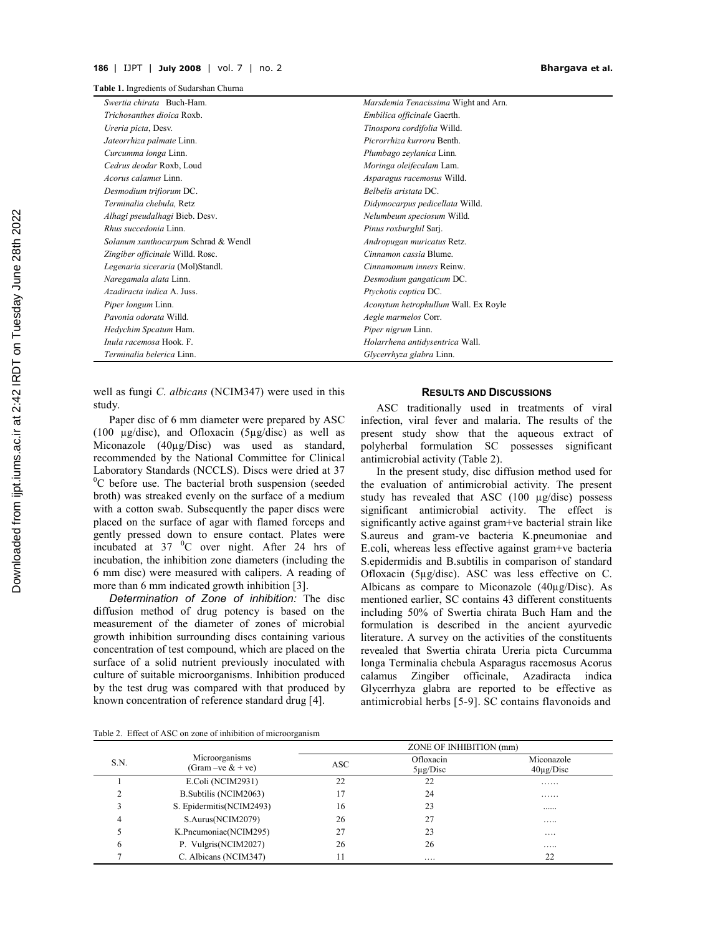**Table 1.** Ingredients of Sudarshan Churna

| Swertia chirata Buch-Ham.           | Marsdemia Tenacissima Wight and Arn. |  |  |
|-------------------------------------|--------------------------------------|--|--|
| Trichosanthes dioica Roxb.          | Embilica officinale Gaerth.          |  |  |
| Ureria picta, Desv.                 | Tinospora cordifolia Willd.          |  |  |
| Jateorrhiza palmate Linn.           | Picrorrhiza kurrora Benth.           |  |  |
| Curcumma longa Linn.                | Plumbago zeylanica Linn.             |  |  |
| Cedrus deodar Roxb, Loud            | Moringa oleifecalam Lam.             |  |  |
| Acorus calamus Linn.                | Asparagus racemosus Willd.           |  |  |
| Desmodium trifiorum DC.             | Belbelis aristata DC.                |  |  |
| Terminalia chebula, Retz            | Didymocarpus pedicellata Willd.      |  |  |
| Alhagi pseudalhagi Bieb. Desv.      | Nelumbeum speciosum Willd.           |  |  |
| <i>Rhus succedonia</i> Linn.        | Pinus roxburghil Sarj.               |  |  |
| Solanum xanthocarpum Schrad & Wendl | Andropugan muricatus Retz.           |  |  |
| Zingiber officinale Willd. Rosc.    | Cinnamon cassia Blume.               |  |  |
| Legenaria siceraria (Mol)Standl.    | Cinnamomum inners Reinw.             |  |  |
| Naregamala alata Linn.              | Desmodium gangaticum DC.             |  |  |
| Azadiracta indica A. Juss.          | Ptychotis coptica DC.                |  |  |
| <i>Piper longum Linn.</i>           | Aconytum hetrophullum Wall. Ex Royle |  |  |
| Pavonia odorata Willd.              | Aegle marmelos Corr.                 |  |  |
| Hedychim Spcatum Ham.               | Piper nigrum Linn.                   |  |  |
| Inula racemosa Hook. F.             | Holarrhena antidysentrica Wall.      |  |  |
| <i>Terminalia belerica</i> Linn.    | <i>Glycerrhyza glabra</i> Linn.      |  |  |

well as fungi *C*. *albicans* (NCIM347) were used in this study.

Paper disc of 6 mm diameter were prepared by ASC (100 µg/disc), and Ofloxacin (5µg/disc) as well as Miconazole (40µg/Disc) was used as standard, recommended by the National Committee for Clinical Laboratory Standards (NCCLS). Discs were dried at 37  ${}^{0}C$  before use. The bacterial broth suspension (seeded broth) was streaked evenly on the surface of a medium with a cotton swab. Subsequently the paper discs were placed on the surface of agar with flamed forceps and gently pressed down to ensure contact. Plates were incubated at  $37\text{ °C}$  over night. After 24 hrs of incubation, the inhibition zone diameters (including the 6 mm disc) were measured with calipers. A reading of more than 6 mm indicated growth inhibition [3].

*Determination of Zone of inhibition:* The disc diffusion method of drug potency is based on the measurement of the diameter of zones of microbial growth inhibition surrounding discs containing various concentration of test compound, which are placed on the surface of a solid nutrient previously inoculated with culture of suitable microorganisms. Inhibition produced by the test drug was compared with that produced by known concentration of reference standard drug [4].

#### **RESULTS AND DISCUSSIONS**

ASC traditionally used in treatments of viral infection, viral fever and malaria. The results of the present study show that the aqueous extract of polyherbal formulation SC possesses significant antimicrobial activity (Table 2).

In the present study, disc diffusion method used for the evaluation of antimicrobial activity. The present study has revealed that ASC (100 µg/disc) possess significant antimicrobial activity. The effect is significantly active against gram+ve bacterial strain like S.aureus and gram-ve bacteria K.pneumoniae and E.coli, whereas less effective against gram+ve bacteria S.epidermidis and B.subtilis in comparison of standard Ofloxacin (5µg/disc). ASC was less effective on C. Albicans as compare to Miconazole (40µg/Disc). As mentioned earlier, SC contains 43 different constituents including 50% of Swertia chirata Buch Ham and the formulation is described in the ancient ayurvedic literature. A survey on the activities of the constituents revealed that Swertia chirata Ureria picta Curcumma longa Terminalia chebula Asparagus racemosus Acorus calamus Zingiber officinale, Azadiracta indica Glycerrhyza glabra are reported to be effective as antimicrobial herbs [5-9]. SC contains flavonoids and

Table 2. Effect of ASC on zone of inhibition of microorganism

| Microorganisms<br>S.N.<br>(Gram –ve $&$ + ve) | ZONE OF INHIBITION (mm)  |                            |                              |    |
|-----------------------------------------------|--------------------------|----------------------------|------------------------------|----|
|                                               | <b>ASC</b>               | Ofloxacin<br>$5\mu$ g/Disc | Miconazole<br>$40\mu$ g/Disc |    |
|                                               | E.Coli (NCIM2931)        | 22                         | 22                           | .  |
|                                               | B. Subtilis (NCIM2063)   | 17                         | 24                           | .  |
|                                               | S. Epidermitis(NCIM2493) | 16                         | 23                           |    |
| 4                                             | S.Aurus(NCIM2079)        | 26                         | 27                           | .  |
|                                               | K.Pneumoniae(NCIM295)    | 27                         | 23                           | .  |
| 6                                             | P. Vulgris(NCIM2027)     | 26                         | 26                           | .  |
|                                               | C. Albicans (NCIM347)    | 11                         | .                            | 22 |